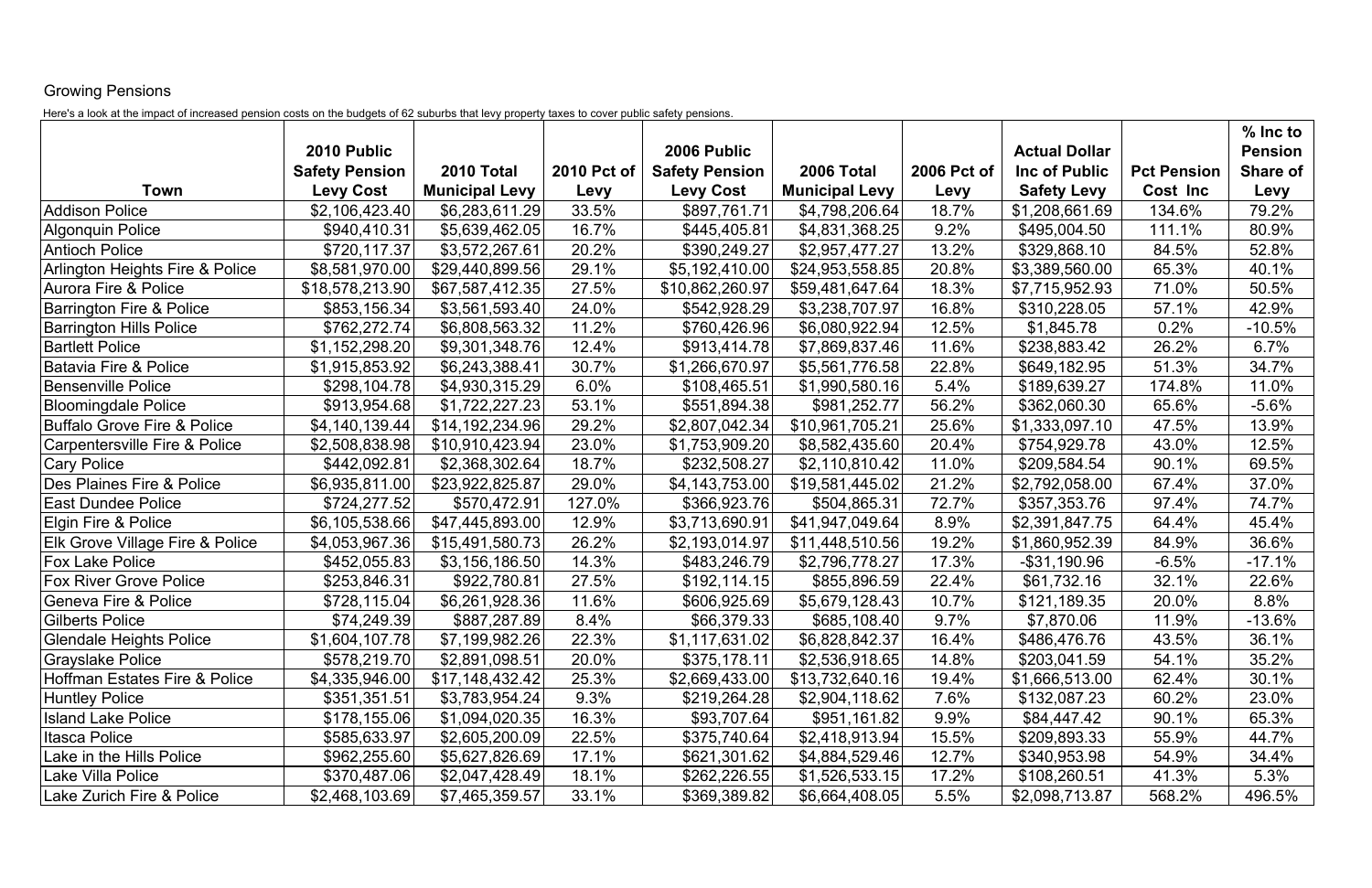## Growing Pensions

Here's a look at the impact of increased pension costs on the budgets of 62 suburbs that levy property taxes to cover public safety pensions.

|                                            |                                           |                                     |                     |                                           |                                     |                     |                                     |                                | % Inc to                |
|--------------------------------------------|-------------------------------------------|-------------------------------------|---------------------|-------------------------------------------|-------------------------------------|---------------------|-------------------------------------|--------------------------------|-------------------------|
|                                            | 2010 Public                               |                                     |                     | 2006 Public                               |                                     |                     | <b>Actual Dollar</b>                |                                | <b>Pension</b>          |
| Town                                       | <b>Safety Pension</b><br><b>Levy Cost</b> | 2010 Total<br><b>Municipal Levy</b> | 2010 Pct of<br>Levy | <b>Safety Pension</b><br><b>Levy Cost</b> | 2006 Total<br><b>Municipal Levy</b> | 2006 Pct of<br>Levy | Inc of Public<br><b>Safety Levy</b> | <b>Pct Pension</b><br>Cost Inc | <b>Share of</b><br>Levy |
| <b>Addison Police</b>                      | \$2,106,423.40                            | \$6,283,611.29                      | 33.5%               | \$897,761.71                              | \$4,798,206.64                      | 18.7%               | \$1,208,661.69                      | 134.6%                         | 79.2%                   |
| <b>Algonquin Police</b>                    | \$940,410.31                              | \$5,639,462.05                      | 16.7%               | \$445,405.81                              | \$4,831,368.25                      | 9.2%                | \$495,004.50                        | 111.1%                         | 80.9%                   |
| <b>Antioch Police</b>                      | \$720,117.37                              | \$3,572,267.61                      | 20.2%               | \$390,249.27                              | \$2,957,477.27                      | 13.2%               | \$329,868.10                        | 84.5%                          | 52.8%                   |
| Arlington Heights Fire & Police            | \$8,581,970.00                            | \$29,440,899.56                     | 29.1%               | \$5,192,410.00                            | \$24,953,558.85                     | 20.8%               | \$3,389,560.00                      | 65.3%                          | 40.1%                   |
| Aurora Fire & Police                       | \$18,578,213.90                           | \$67,587,412.35                     | 27.5%               | \$10,862,260.97                           | \$59,481,647.64                     | 18.3%               | \$7,715,952.93                      | 71.0%                          | 50.5%                   |
| <b>Barrington Fire &amp; Police</b>        | \$853,156.34                              | \$3,561,593.40                      | 24.0%               | \$542,928.29                              | \$3,238,707.97                      | 16.8%               | \$310,228.05                        | 57.1%                          | 42.9%                   |
| <b>Barrington Hills Police</b>             | \$762,272.74                              | \$6,808,563.32                      | 11.2%               | \$760,426.96                              | \$6,080,922.94                      | 12.5%               | \$1,845.78                          | 0.2%                           | $-10.5%$                |
| <b>Bartlett Police</b>                     | \$1,152,298.20                            | \$9,301,348.76                      | 12.4%               | \$913,414.78                              | \$7,869,837.46                      | 11.6%               | \$238,883.42                        | 26.2%                          | 6.7%                    |
| <b>Batavia Fire &amp; Police</b>           | \$1,915,853.92                            | \$6,243,388.41                      | 30.7%               | \$1,266,670.97                            | \$5,561,776.58                      | 22.8%               | \$649,182.95                        | 51.3%                          | 34.7%                   |
| <b>Bensenville Police</b>                  | \$298,104.78                              | \$4,930,315.29                      | 6.0%                | \$108,465.51                              | \$1,990,580.16                      | 5.4%                | \$189,639.27                        | 174.8%                         | 11.0%                   |
| <b>Bloomingdale Police</b>                 | \$913,954.68                              | \$1,722,227.23                      | 53.1%               | \$551,894.38                              | \$981,252.77                        | 56.2%               | \$362,060.30                        | 65.6%                          | $-5.6%$                 |
| <b>Buffalo Grove Fire &amp; Police</b>     | \$4,140,139.44                            | \$14,192,234.96                     | 29.2%               | \$2,807,042.34                            | \$10,961,705.21                     | 25.6%               | \$1,333,097.10                      | 47.5%                          | 13.9%                   |
| <b>Carpentersville Fire &amp; Police</b>   | \$2,508,838.98                            | \$10,910,423.94                     | 23.0%               | \$1,753,909.20                            | \$8,582,435.60                      | 20.4%               | \$754,929.78                        | 43.0%                          | 12.5%                   |
| <b>Cary Police</b>                         | \$442,092.81                              | \$2,368,302.64                      | 18.7%               | \$232,508.27                              | \$2,110,810.42                      | 11.0%               | \$209,584.54                        | 90.1%                          | 69.5%                   |
| Des Plaines Fire & Police                  | \$6,935,811.00                            | \$23,922,825.87                     | 29.0%               | \$4,143,753.00                            | \$19,581,445.02                     | 21.2%               | \$2,792,058.00                      | 67.4%                          | 37.0%                   |
| <b>East Dundee Police</b>                  | \$724,277.52                              | \$570,472.91                        | 127.0%              | \$366,923.76                              | \$504,865.31                        | 72.7%               | \$357,353.76                        | 97.4%                          | 74.7%                   |
| <b>Elgin Fire &amp; Police</b>             | \$6,105,538.66                            | \$47,445,893.00                     | 12.9%               | \$3,713,690.91                            | \$41,947,049.64                     | 8.9%                | \$2,391,847.75                      | 64.4%                          | 45.4%                   |
| <b>Elk Grove Village Fire &amp; Police</b> | \$4,053,967.36                            | \$15,491,580.73                     | 26.2%               | \$2,193,014.97                            | \$11,448,510.56                     | 19.2%               | \$1,860,952.39                      | 84.9%                          | 36.6%                   |
| <b>Fox Lake Police</b>                     | \$452,055.83                              | \$3,156,186.50                      | 14.3%               | \$483,246.79                              | \$2,796,778.27                      | 17.3%               | $-$ \$31,190.96                     | $-6.5%$                        | $-17.1%$                |
| <b>Fox River Grove Police</b>              | \$253,846.31                              | \$922,780.81                        | 27.5%               | \$192,114.15                              | \$855,896.59                        | 22.4%               | \$61,732.16                         | 32.1%                          | 22.6%                   |
| <b>Geneva Fire &amp; Police</b>            | \$728,115.04                              | \$6,261,928.36                      | 11.6%               | \$606,925.69                              | \$5,679,128.43                      | 10.7%               | \$121,189.35                        | 20.0%                          | 8.8%                    |
| <b>Gilberts Police</b>                     | \$74,249.39                               | \$887,287.89                        | 8.4%                | \$66,379.33                               | \$685,108.40                        | 9.7%                | \$7,870.06                          | 11.9%                          | $-13.6%$                |
| Glendale Heights Police                    | \$1,604,107.78                            | \$7,199,982.26                      | 22.3%               | \$1,117,631.02                            | \$6,828,842.37                      | 16.4%               | \$486,476.76                        | 43.5%                          | 36.1%                   |
| <b>Grayslake Police</b>                    | \$578,219.70                              | \$2,891,098.51                      | 20.0%               | \$375,178.11                              | \$2,536,918.65                      | 14.8%               | \$203,041.59                        | 54.1%                          | 35.2%                   |
| Hoffman Estates Fire & Police              | \$4,335,946.00                            | \$17,148,432.42                     | 25.3%               | \$2,669,433.00                            | \$13,732,640.16                     | 19.4%               | \$1,666,513.00                      | 62.4%                          | 30.1%                   |
| <b>Huntley Police</b>                      | \$351,351.51                              | \$3,783,954.24                      | 9.3%                | \$219,264.28                              | \$2,904,118.62                      | 7.6%                | \$132,087.23                        | 60.2%                          | 23.0%                   |
| <b>Island Lake Police</b>                  | \$178,155.06                              | \$1,094,020.35                      | 16.3%               | \$93,707.64                               | \$951,161.82                        | 9.9%                | \$84,447.42                         | 90.1%                          | 65.3%                   |
| Itasca Police                              | \$585,633.97                              | \$2,605,200.09                      | 22.5%               | \$375,740.64                              | \$2,418,913.94                      | 15.5%               | \$209,893.33                        | 55.9%                          | 44.7%                   |
| Lake in the Hills Police                   | \$962,255.60                              | \$5,627,826.69                      | 17.1%               | \$621,301.62                              | \$4,884,529.46                      | 12.7%               | \$340,953.98                        | 54.9%                          | 34.4%                   |
| Lake Villa Police                          | \$370,487.06                              | \$2,047,428.49                      | 18.1%               | \$262,226.55                              | \$1,526,533.15                      | 17.2%               | \$108,260.51                        | 41.3%                          | 5.3%                    |
| Lake Zurich Fire & Police                  | \$2,468,103.69                            | \$7,465,359.57                      | 33.1%               | \$369,389.82                              | \$6,664,408.05                      | 5.5%                | \$2,098,713.87                      | 568.2%                         | 496.5%                  |